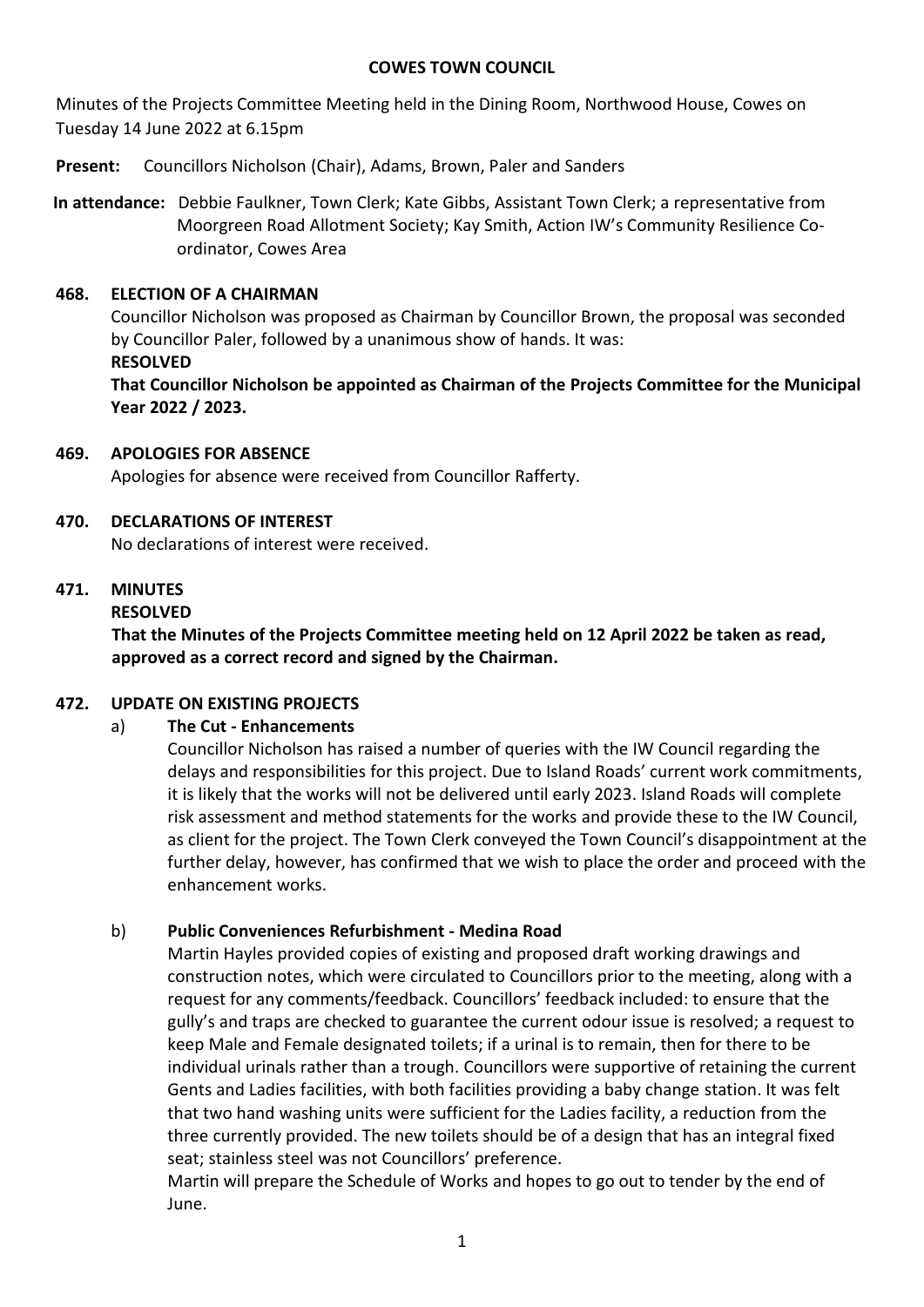#### **COWES TOWN COUNCIL**

Minutes of the Projects Committee Meeting held in the Dining Room, Northwood House, Cowes on Tuesday 14 June 2022 at 6.15pm

**Present:** Councillors Nicholson (Chair), Adams, Brown, Paler and Sanders

**In attendance:** Debbie Faulkner, Town Clerk; Kate Gibbs, Assistant Town Clerk; a representative from Moorgreen Road Allotment Society; Kay Smith, Action IW's Community Resilience Coordinator, Cowes Area

### **468. ELECTION OF A CHAIRMAN**

Councillor Nicholson was proposed as Chairman by Councillor Brown, the proposal was seconded by Councillor Paler, followed by a unanimous show of hands. It was: **RESOLVED**

**That Councillor Nicholson be appointed as Chairman of the Projects Committee for the Municipal Year 2022 / 2023.**

### **469. APOLOGIES FOR ABSENCE**

Apologies for absence were received from Councillor Rafferty.

### **470. DECLARATIONS OF INTEREST**

No declarations of interest were received.

### **471. MINUTES**

#### **RESOLVED**

**That the Minutes of the Projects Committee meeting held on 12 April 2022 be taken as read, approved as a correct record and signed by the Chairman.**

# **472. UPDATE ON EXISTING PROJECTS**

# a) **The Cut - Enhancements**

Councillor Nicholson has raised a number of queries with the IW Council regarding the delays and responsibilities for this project. Due to Island Roads' current work commitments, it is likely that the works will not be delivered until early 2023. Island Roads will complete risk assessment and method statements for the works and provide these to the IW Council, as client for the project. The Town Clerk conveyed the Town Council's disappointment at the further delay, however, has confirmed that we wish to place the order and proceed with the enhancement works.

# b) **Public Conveniences Refurbishment - Medina Road**

Martin Hayles provided copies of existing and proposed draft working drawings and construction notes, which were circulated to Councillors prior to the meeting, along with a request for any comments/feedback. Councillors' feedback included: to ensure that the gully's and traps are checked to guarantee the current odour issue is resolved; a request to keep Male and Female designated toilets; if a urinal is to remain, then for there to be individual urinals rather than a trough. Councillors were supportive of retaining the current Gents and Ladies facilities, with both facilities providing a baby change station. It was felt that two hand washing units were sufficient for the Ladies facility, a reduction from the three currently provided. The new toilets should be of a design that has an integral fixed seat; stainless steel was not Councillors' preference.

Martin will prepare the Schedule of Works and hopes to go out to tender by the end of June.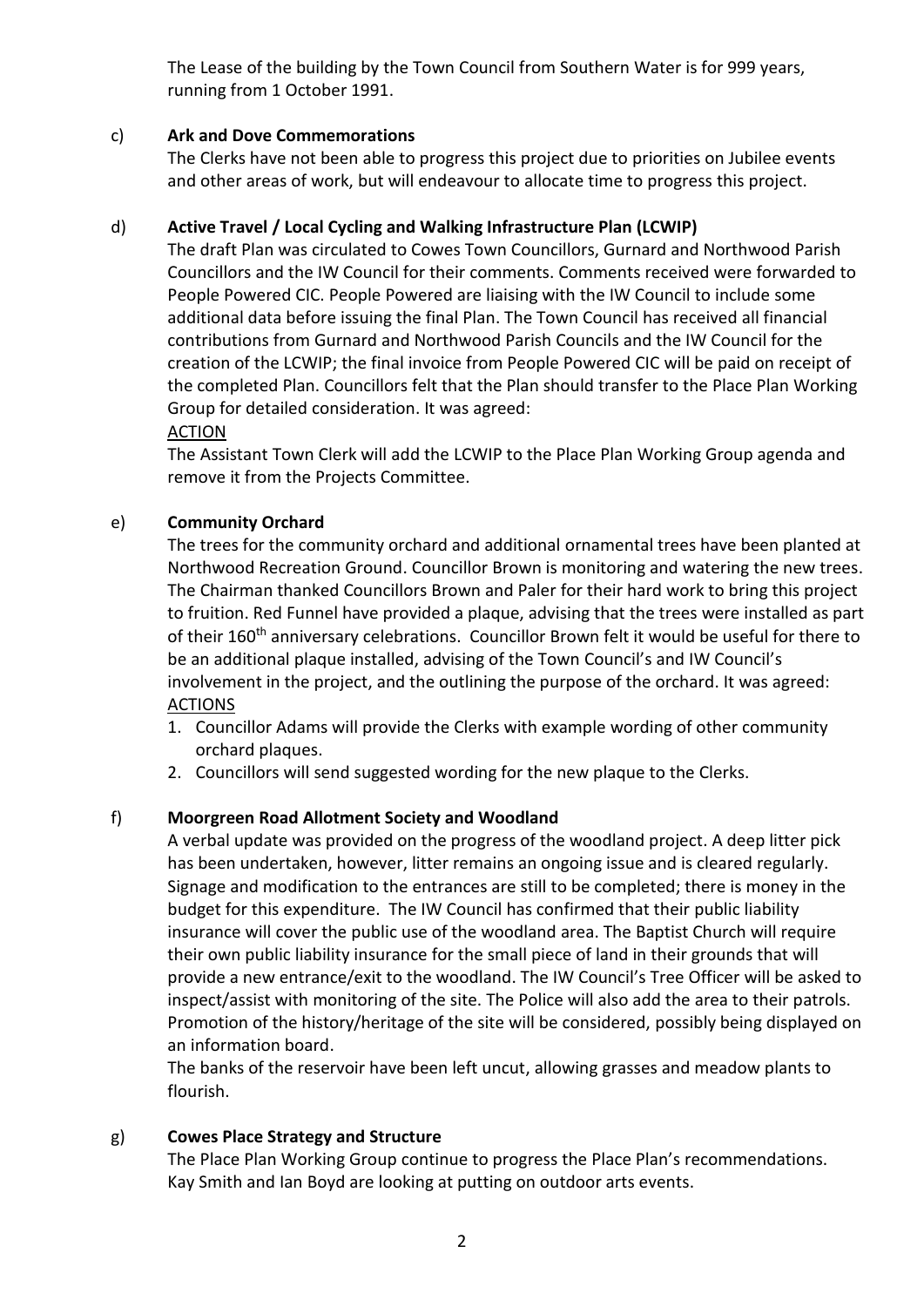The Lease of the building by the Town Council from Southern Water is for 999 years, running from 1 October 1991.

# c) **Ark and Dove Commemorations**

The Clerks have not been able to progress this project due to priorities on Jubilee events and other areas of work, but will endeavour to allocate time to progress this project.

# d) **Active Travel / Local Cycling and Walking Infrastructure Plan (LCWIP)**

The draft Plan was circulated to Cowes Town Councillors, Gurnard and Northwood Parish Councillors and the IW Council for their comments. Comments received were forwarded to People Powered CIC. People Powered are liaising with the IW Council to include some additional data before issuing the final Plan. The Town Council has received all financial contributions from Gurnard and Northwood Parish Councils and the IW Council for the creation of the LCWIP; the final invoice from People Powered CIC will be paid on receipt of the completed Plan. Councillors felt that the Plan should transfer to the Place Plan Working Group for detailed consideration. It was agreed:

#### ACTION

The Assistant Town Clerk will add the LCWIP to the Place Plan Working Group agenda and remove it from the Projects Committee.

# e) **Community Orchard**

The trees for the community orchard and additional ornamental trees have been planted at Northwood Recreation Ground. Councillor Brown is monitoring and watering the new trees. The Chairman thanked Councillors Brown and Paler for their hard work to bring this project to fruition. Red Funnel have provided a plaque, advising that the trees were installed as part of their 160<sup>th</sup> anniversary celebrations. Councillor Brown felt it would be useful for there to be an additional plaque installed, advising of the Town Council's and IW Council's involvement in the project, and the outlining the purpose of the orchard. It was agreed: **ACTIONS** 

- 1. Councillor Adams will provide the Clerks with example wording of other community orchard plaques.
- 2. Councillors will send suggested wording for the new plaque to the Clerks.

# f) **Moorgreen Road Allotment Society and Woodland**

A verbal update was provided on the progress of the woodland project. A deep litter pick has been undertaken, however, litter remains an ongoing issue and is cleared regularly. Signage and modification to the entrances are still to be completed; there is money in the budget for this expenditure. The IW Council has confirmed that their public liability insurance will cover the public use of the woodland area. The Baptist Church will require their own public liability insurance for the small piece of land in their grounds that will provide a new entrance/exit to the woodland. The IW Council's Tree Officer will be asked to inspect/assist with monitoring of the site. The Police will also add the area to their patrols. Promotion of the history/heritage of the site will be considered, possibly being displayed on an information board.

The banks of the reservoir have been left uncut, allowing grasses and meadow plants to flourish.

# g) **Cowes Place Strategy and Structure**

The Place Plan Working Group continue to progress the Place Plan's recommendations. Kay Smith and Ian Boyd are looking at putting on outdoor arts events.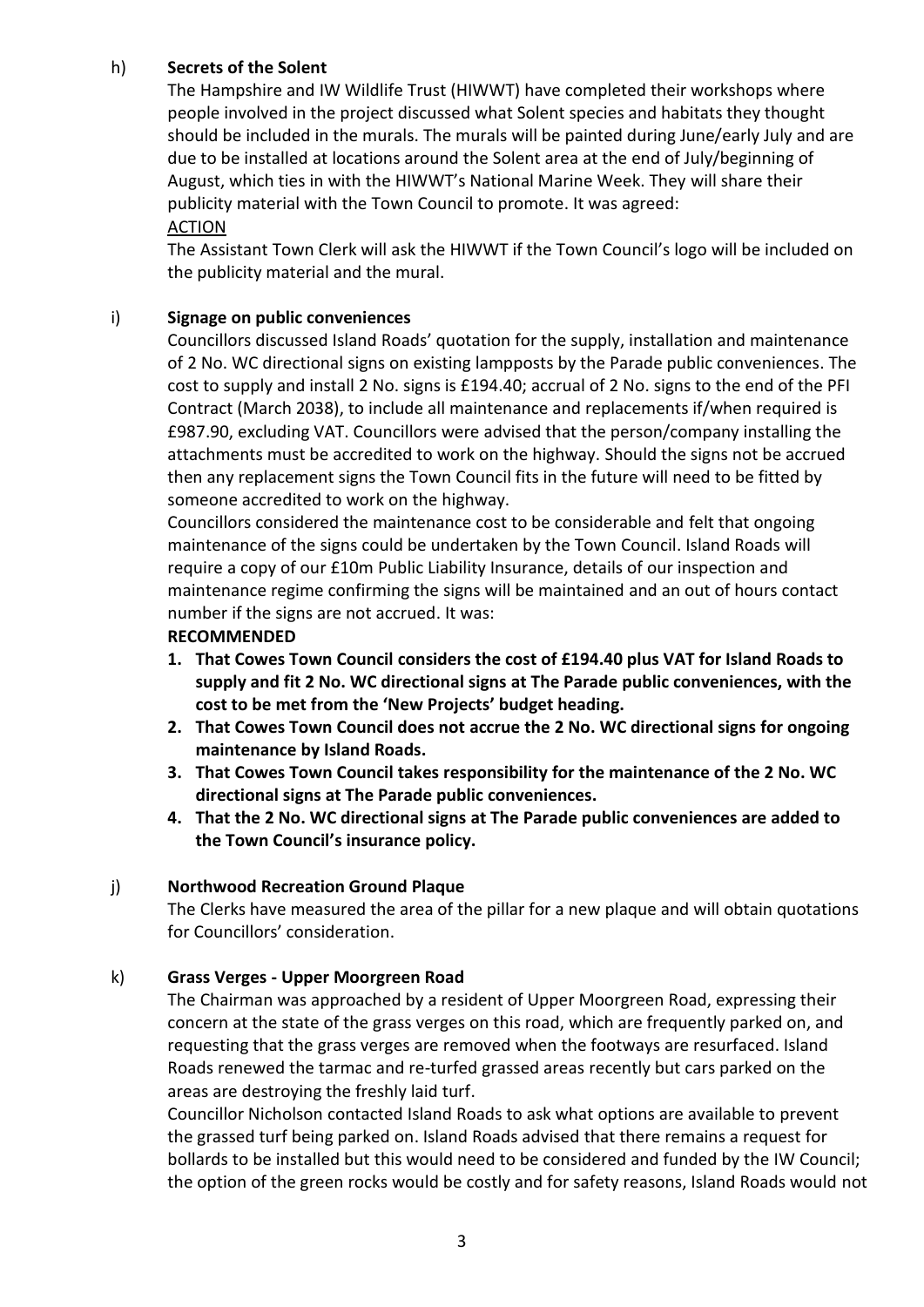### h) **Secrets of the Solent**

The Hampshire and IW Wildlife Trust (HIWWT) have completed their workshops where people involved in the project discussed what Solent species and habitats they thought should be included in the murals. The murals will be painted during June/early July and are due to be installed at locations around the Solent area at the end of July/beginning of August, which ties in with the HIWWT's National Marine Week. They will share their publicity material with the Town Council to promote. It was agreed:

### ACTION

The Assistant Town Clerk will ask the HIWWT if the Town Council's logo will be included on the publicity material and the mural.

#### i) **Signage on public conveniences**

Councillors discussed Island Roads' quotation for the supply, installation and maintenance of 2 No. WC directional signs on existing lampposts by the Parade public conveniences. The cost to supply and install 2 No. signs is £194.40; accrual of 2 No. signs to the end of the PFI Contract (March 2038), to include all maintenance and replacements if/when required is £987.90, excluding VAT. Councillors were advised that the person/company installing the attachments must be accredited to work on the highway. Should the signs not be accrued then any replacement signs the Town Council fits in the future will need to be fitted by someone accredited to work on the highway.

Councillors considered the maintenance cost to be considerable and felt that ongoing maintenance of the signs could be undertaken by the Town Council. Island Roads will require a copy of our £10m Public Liability Insurance, details of our inspection and maintenance regime confirming the signs will be maintained and an out of hours contact number if the signs are not accrued. It was:

#### **RECOMMENDED**

- **1. That Cowes Town Council considers the cost of £194.40 plus VAT for Island Roads to supply and fit 2 No. WC directional signs at The Parade public conveniences, with the cost to be met from the 'New Projects' budget heading.**
- **2. That Cowes Town Council does not accrue the 2 No. WC directional signs for ongoing maintenance by Island Roads.**
- **3. That Cowes Town Council takes responsibility for the maintenance of the 2 No. WC directional signs at The Parade public conveniences.**
- **4. That the 2 No. WC directional signs at The Parade public conveniences are added to the Town Council's insurance policy.**

#### j) **Northwood Recreation Ground Plaque**

The Clerks have measured the area of the pillar for a new plaque and will obtain quotations for Councillors' consideration.

#### k) **Grass Verges - Upper Moorgreen Road**

The Chairman was approached by a resident of Upper Moorgreen Road, expressing their concern at the state of the grass verges on this road, which are frequently parked on, and requesting that the grass verges are removed when the footways are resurfaced. Island Roads renewed the tarmac and re-turfed grassed areas recently but cars parked on the areas are destroying the freshly laid turf.

Councillor Nicholson contacted Island Roads to ask what options are available to prevent the grassed turf being parked on. Island Roads advised that there remains a request for bollards to be installed but this would need to be considered and funded by the IW Council; the option of the green rocks would be costly and for safety reasons, Island Roads would not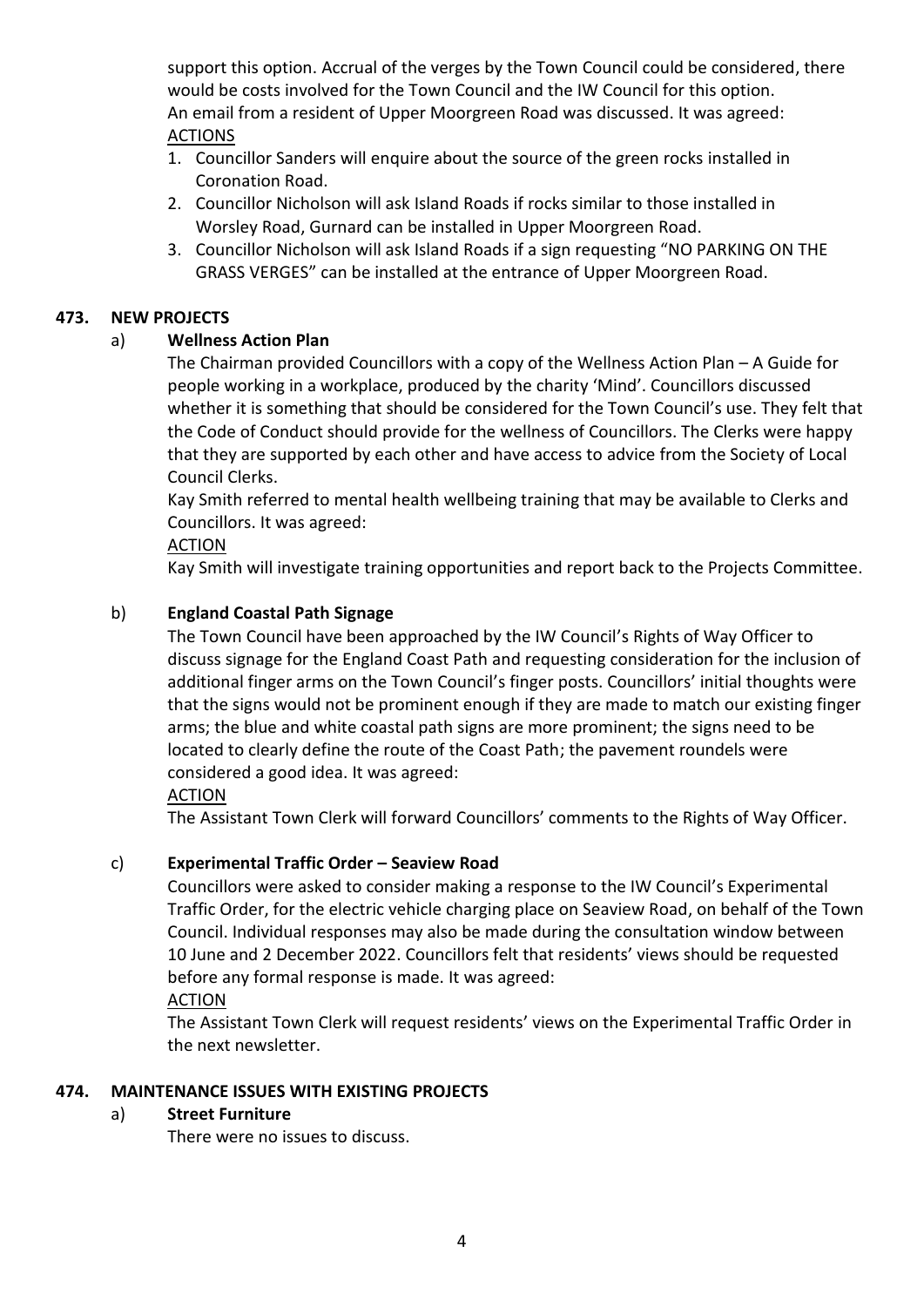support this option. Accrual of the verges by the Town Council could be considered, there would be costs involved for the Town Council and the IW Council for this option. An email from a resident of Upper Moorgreen Road was discussed. It was agreed: ACTIONS

- 1. Councillor Sanders will enquire about the source of the green rocks installed in Coronation Road.
- 2. Councillor Nicholson will ask Island Roads if rocks similar to those installed in Worsley Road, Gurnard can be installed in Upper Moorgreen Road.
- 3. Councillor Nicholson will ask Island Roads if a sign requesting "NO PARKING ON THE GRASS VERGES" can be installed at the entrance of Upper Moorgreen Road.

### **473. NEW PROJECTS**

# a) **Wellness Action Plan**

The Chairman provided Councillors with a copy of the Wellness Action Plan – A Guide for people working in a workplace, produced by the charity 'Mind'. Councillors discussed whether it is something that should be considered for the Town Council's use. They felt that the Code of Conduct should provide for the wellness of Councillors. The Clerks were happy that they are supported by each other and have access to advice from the Society of Local Council Clerks.

Kay Smith referred to mental health wellbeing training that may be available to Clerks and Councillors. It was agreed:

### ACTION

Kay Smith will investigate training opportunities and report back to the Projects Committee.

# b) **England Coastal Path Signage**

The Town Council have been approached by the IW Council's Rights of Way Officer to discuss signage for the England Coast Path and requesting consideration for the inclusion of additional finger arms on the Town Council's finger posts. Councillors' initial thoughts were that the signs would not be prominent enough if they are made to match our existing finger arms; the blue and white coastal path signs are more prominent; the signs need to be located to clearly define the route of the Coast Path; the pavement roundels were considered a good idea. It was agreed:

#### ACTION

The Assistant Town Clerk will forward Councillors' comments to the Rights of Way Officer.

#### c) **Experimental Traffic Order – Seaview Road**

Councillors were asked to consider making a response to the IW Council's Experimental Traffic Order, for the electric vehicle charging place on Seaview Road, on behalf of the Town Council. Individual responses may also be made during the consultation window between 10 June and 2 December 2022. Councillors felt that residents' views should be requested before any formal response is made. It was agreed:

#### ACTION

The Assistant Town Clerk will request residents' views on the Experimental Traffic Order in the next newsletter.

#### **474. MAINTENANCE ISSUES WITH EXISTING PROJECTS**

# a) **Street Furniture**

There were no issues to discuss.